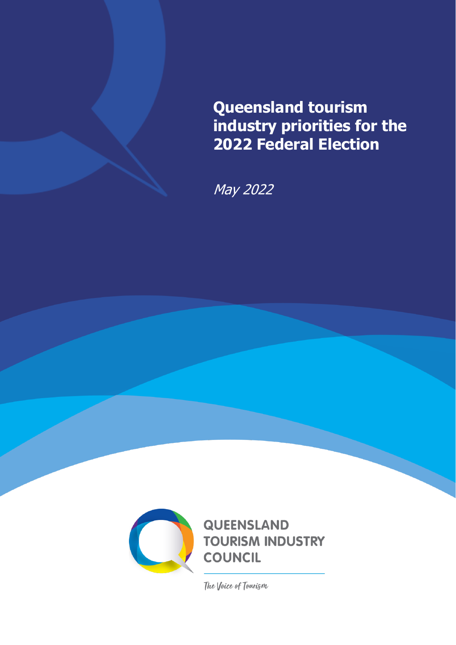

May 2022



The Voice of Tourism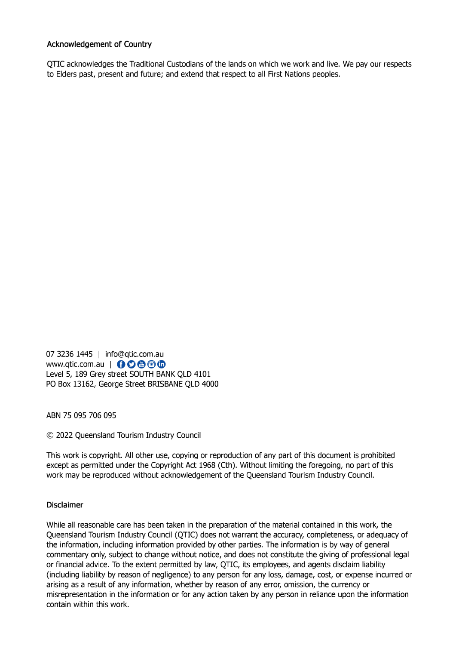#### **Acknowledgement of Country**

OTIC acknowledges the Traditional Custodians of the lands on which we work and live. We pay our respects to Elders past, present and future; and extend that respect to all First Nations peoples.

07 3236 1445 | info@qtic.com.au www.qtic.com.au | ←○●●● Level 5, 189 Grey street SOUTH BANK QLD 4101 PO Box 13162, George Street BRISBANE QLD 4000

ABN 75 095 706 095

© 2022 Queensland Tourism Industry Council

This work is copyright. All other use, copying or reproduction of any part of this document is prohibited except as permitted under the Copyright Act 1968 (Cth). Without limiting the foregoing, no part of this work may be reproduced without acknowledgement of the Queensland Tourism Industry Council.

## **Disclaimer**

While all reasonable care has been taken in the preparation of the material contained in this work, the Queensland Tourism Industry Council (QTIC) does not warrant the accuracy, completeness, or adequacy of the information, including information provided by other parties. The information is by way of general commentary only, subject to change without notice, and does not constitute the giving of professional legal or financial advice. To the extent permitted by law, QTIC, its employees, and agents disclaim liability (including liability by reason of negligence) to any person for any loss, damage, cost, or expense incurred or arising as a result of any information, whether by reason of any error, omission, the currency or misrepresentation in the information or for any action taken by any person in reliance upon the information contain within this work.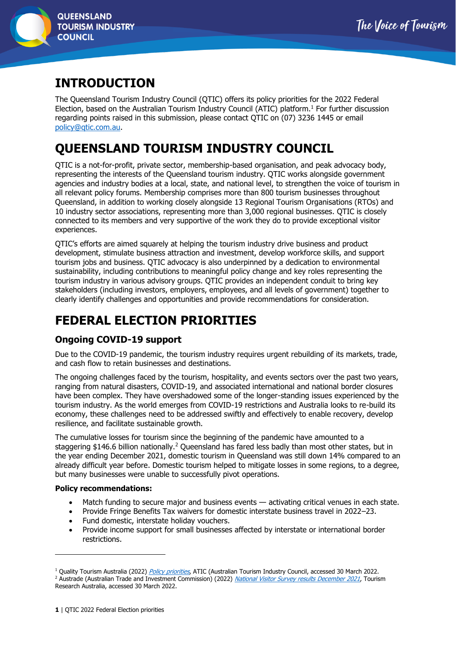

# **INTRODUCTION**

The Queensland Tourism Industry Council (QTIC) offers its policy priorities for the 2022 Federal Election, based on the Australian Tourism Industry Council (ATIC) platform. <sup>1</sup> For further discussion regarding points raised in this submission, please contact QTIC on (07) 3236 1445 or email [policy@qtic.com.au.](mailto:policy@qtic.com.au)

# **QUEENSLAND TOURISM INDUSTRY COUNCIL**

QTIC is a not-for-profit, private sector, membership-based organisation, and peak advocacy body, representing the interests of the Queensland tourism industry. QTIC works alongside government agencies and industry bodies at a local, state, and national level, to strengthen the voice of tourism in all relevant policy forums. Membership comprises more than 800 tourism businesses throughout Queensland, in addition to working closely alongside 13 Regional Tourism Organisations (RTOs) and 10 industry sector associations, representing more than 3,000 regional businesses. QTIC is closely connected to its members and very supportive of the work they do to provide exceptional visitor experiences.

QTIC's efforts are aimed squarely at helping the tourism industry drive business and product development, stimulate business attraction and investment, develop workforce skills, and support tourism jobs and business. QTIC advocacy is also underpinned by a dedication to environmental sustainability, including contributions to meaningful policy change and key roles representing the tourism industry in various advisory groups. QTIC provides an independent conduit to bring key stakeholders (including investors, employers, employees, and all levels of government) together to clearly identify challenges and opportunities and provide recommendations for consideration.

# **FEDERAL ELECTION PRIORITIES**

# **Ongoing COVID-19 support**

Due to the COVID-19 pandemic, the tourism industry requires urgent rebuilding of its markets, trade, and cash flow to retain businesses and destinations.

The ongoing challenges faced by the tourism, hospitality, and events sectors over the past two years, ranging from natural disasters, COVID-19, and associated international and national border closures have been complex. They have overshadowed some of the longer-standing issues experienced by the tourism industry. As the world emerges from COVID-19 restrictions and Australia looks to re-build its economy, these challenges need to be addressed swiftly and effectively to enable recovery, develop resilience, and facilitate sustainable growth.

The cumulative losses for tourism since the beginning of the pandemic have amounted to a staggering \$146.6 billion nationally.<sup>2</sup> Queensland has fared less badly than most other states, but in the year ending December 2021, domestic tourism in Queensland was still down 14% compared to an already difficult year before. Domestic tourism helped to mitigate losses in some regions, to a degree, but many businesses were unable to successfully pivot operations.

- Match funding to secure major and business events activating critical venues in each state.
- Provide Fringe Benefits Tax waivers for domestic interstate business travel in 2022–23.
- Fund domestic, interstate holiday vouchers.
- Provide income support for small businesses affected by interstate or international border restrictions.

<sup>&</sup>lt;sup>1</sup> Quality Tourism Australia (2022) *[Policy priorities](https://www.qualitytourismaustralia.com/home/policy-priorities/)*, ATIC (Australian Tourism Industry Council, accessed 30 March 2022.

<sup>&</sup>lt;sup>2</sup> Austrade (Australian Trade and Investment Commission) (2022) [National Visitor Survey results December 2021](https://www.tra.gov.au/data-and-research/reports/national-visitor-survey-results-december-2021/national-visitor-survey-results-december-2021#msdynttrid=boPbOGqxaeuTucWeLbFP89AUYOnzI0vOzD9QXZt_AYk), Tourism Research Australia, accessed 30 March 2022.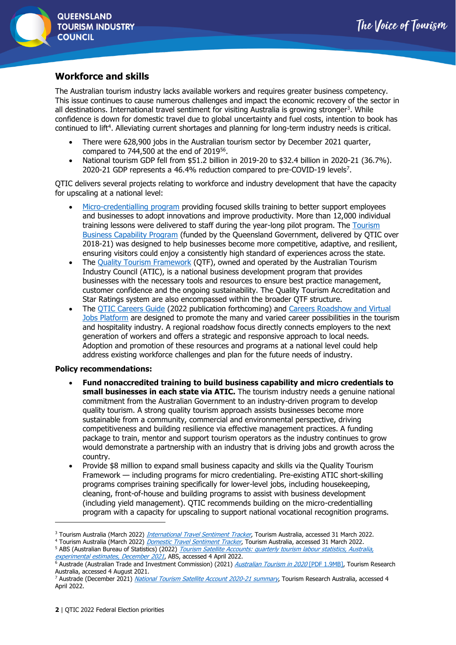## **Workforce and skills**

The Australian tourism industry lacks available workers and requires greater business competency. This issue continues to cause numerous challenges and impact the economic recovery of the sector in all destinations. International travel sentiment for visiting Australia is growing stronger<sup>3</sup>. While confidence is down for domestic travel due to global uncertainty and fuel costs, intention to book has continued to lift<sup>4</sup>. Alleviating current shortages and planning for long-term industry needs is critical.

- There were 628,900 jobs in the Australian tourism sector by December 2021 quarter, compared to  $744,500$  at the end of  $2019^{56}$ .
- National tourism GDP fell from \$51.2 billion in 2019-20 to \$32.4 billion in 2020-21 (36.7%). 2020-21 GDP represents a 46.4% reduction compared to pre-COVID-19 levels<sup>7</sup>.

QTIC delivers several projects relating to workforce and industry development that have the capacity for upscaling at a national level:

- [Micro-credentialling program](https://www.qtic.com.au/workforce-development/Micro-Credentialing/) providing focused skills training to better support employees and businesses to adopt innovations and improve productivity. More than 12,000 individual training lessons were delivered to staff during the year-long pilot program. The [Tourism](https://www.qtic.com.au/industry-development/business-programs/)  [Business Capability Program](https://www.qtic.com.au/industry-development/business-programs/) (funded by the Queensland Government, delivered by QTIC over 2018-21) was designed to help businesses become more competitive, adaptive, and resilient, ensuring visitors could enjoy a consistently high standard of experiences across the state.
- The [Quality Tourism Framework](https://www.qtic.com.au/industry-development/accreditation/) (QTF), owned and operated by the Australian Tourism Industry Council (ATIC), is a national business development program that provides businesses with the necessary tools and resources to ensure best practice management, customer confidence and the ongoing sustainability. The Quality Tourism Accreditation and Star Ratings system are also encompassed within the broader QTF structure.
- The [QTIC Careers Guide](https://qticazure.blob.core.windows.net/crmblobcontainer/QTIC_V8-3.pdf) (2022 publication forthcoming) and [Careers Roadshow and Virtual](https://www.qtic.com.au/workforce-development/qtic-virtual-careers-fair-and-careers-roadshows/)  [Jobs Platform](https://www.qtic.com.au/workforce-development/qtic-virtual-careers-fair-and-careers-roadshows/) are designed to promote the many and varied career possibilities in the tourism and hospitality industry. A regional roadshow focus directly connects employers to the next generation of workers and offers a strategic and responsive approach to local needs. Adoption and promotion of these resources and programs at a national level could help address existing workforce challenges and plan for the future needs of industry.

- **Fund nonaccredited training to build business capability and micro credentials to small businesses in each state via ATIC.** The tourism industry needs a genuine national commitment from the Australian Government to an industry-driven program to develop quality tourism. A strong quality tourism approach assists businesses become more sustainable from a community, commercial and environmental perspective, driving competitiveness and building resilience via effective management practices. A funding package to train, mentor and support tourism operators as the industry continues to grow would demonstrate a partnership with an industry that is driving jobs and growth across the country.
- Provide \$8 million to expand small business capacity and skills via the Quality Tourism Framework — including programs for micro credentialing. Pre-existing ATIC short-skilling programs comprises training specifically for lower-level jobs, including housekeeping, cleaning, front-of-house and building programs to assist with business development (including yield management). QTIC recommends building on the micro-credentialling program with a capacity for upscaling to support national vocational recognition programs.

<sup>&</sup>lt;sup>3</sup> Tourism Australia (March 2022) *[International Travel Sentiment Tracker](https://www.tourism.australia.com/en/markets-and-stats/tourism-statistics.html)*, Tourism Australia, accessed 31 March 2022.

<sup>4</sup> Tourism Australia (March 2022) [Domestic Travel Sentiment Tracker](https://www.tourism.australia.com/en/markets-and-stats/tourism-statistics.html), Tourism Australia, accessed 31 March 2022.

<sup>&</sup>lt;sup>5</sup> ABS (Australian Bureau of Statistics) (2022) *Tourism Satellite Accounts: quarterly tourism labour statistics, Australia*, [experimental estimates, December 2021](https://www.abs.gov.au/statistics/economy/national-accounts/tourism-satellite-accounts-quarterly-tourism-labour-statistics-australia-experimental-estimates/dec-2021), ABS, accessed 4 April 2022.

 $6$  Austrade (Australian Trade and Investment Commission) (2021) *[Australian Tourism in 2020](https://www.tra.gov.au/ArticleDocuments/185/Australian%20Tourism%20in%202020.pdf.aspx)* [PDF 1.9MB], Tourism Research Australia, accessed 4 August 2021.

<sup>&</sup>lt;sup>7</sup> Austrade (December 2021) [National Tourism Satellite Account 2020-21](https://www.tra.gov.au/data-and-research/reports/national-tourism-satellite-account-2020-21/national-tourism-satellite-account-2020-21) summary, Tourism Research Australia, accessed 4 April 2022.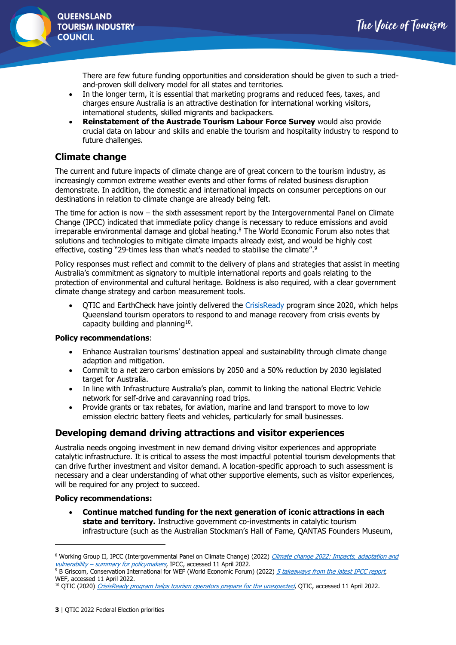

There are few future funding opportunities and consideration should be given to such a triedand-proven skill delivery model for all states and territories.

- In the longer term, it is essential that marketing programs and reduced fees, taxes, and charges ensure Australia is an attractive destination for international working visitors, international students, skilled migrants and backpackers.
- **Reinstatement of the Austrade Tourism Labour Force Survey** would also provide crucial data on labour and skills and enable the tourism and hospitality industry to respond to future challenges.

## **Climate change**

The current and future impacts of climate change are of great concern to the tourism industry, as increasingly common extreme weather events and other forms of related business disruption demonstrate. In addition, the domestic and international impacts on consumer perceptions on our destinations in relation to climate change are already being felt.

The time for action is now – the sixth assessment report by the Intergovernmental Panel on Climate Change (IPCC) indicated that immediate policy change is necessary to reduce emissions and avoid irreparable environmental damage and global heating.<sup>8</sup> The World Economic Forum also notes that solutions and technologies to mitigate climate impacts already exist, and would be highly cost effective, costing "29-times less than what's needed to stabilise the climate".<sup>9</sup>

Policy responses must reflect and commit to the delivery of plans and strategies that assist in meeting Australia's commitment as signatory to multiple international reports and goals relating to the protection of environmental and cultural heritage. Boldness is also required, with a clear government climate change strategy and carbon measurement tools.

• QTIC and EarthCheck have jointly delivered the [CrisisReady](https://earthcheck.org/products-services/technology/earthcheck-crisisready-program/) program since 2020, which helps Queensland tourism operators to respond to and manage recovery from crisis events by capacity building and planning $10$ .

#### **Policy recommendations**:

- Enhance Australian tourisms' destination appeal and sustainability through climate change adaption and mitigation.
- Commit to a net zero carbon emissions by 2050 and a 50% reduction by 2030 legislated target for Australia.
- In line with Infrastructure Australia's plan, commit to linking the national Electric Vehicle network for self-drive and caravanning road trips.
- Provide grants or tax rebates, for aviation, marine and land transport to move to low emission electric battery fleets and vehicles, particularly for small businesses.

## **Developing demand driving attractions and visitor experiences**

Australia needs ongoing investment in new demand driving visitor experiences and appropriate catalytic infrastructure. It is critical to assess the most impactful potential tourism developments that can drive further investment and visitor demand. A location-specific approach to such assessment is necessary and a clear understanding of what other supportive elements, such as visitor experiences, will be required for any project to succeed.

#### **Policy recommendations:**

• **Continue matched funding for the next generation of iconic attractions in each state and territory.** Instructive government co-investments in catalytic tourism infrastructure (such as the Australian Stockman's Hall of Fame, QANTAS Founders Museum,

<sup>&</sup>lt;sup>8</sup> Working Group II, IPCC (Intergovernmental Panel on Climate Change) (2022) Climate change 2022: Impacts, adaptation and vulnerability – [summary for policymakers](https://www.ipcc.ch/report/ar6/wg2/), IPCC, accessed 11 April 2022.

<sup>&</sup>lt;sup>9</sup> B Griscom, Conservation International for WEF (World Economic Forum) (2022) [5 takeaways from the latest IPCC report](https://www.weforum.org/agenda/2022/04/ipcc-report-2022-key-takeaways/), WEE, accessed 11 April 2022.

<sup>&</sup>lt;sup>10</sup> QTIC (2020) [CrisisReady program helps tourism operators prepare for the unexpected](https://www.qtic.com.au/news/cdf79de7-080d-eb11-a813-000d3a79983b/), QTIC, accessed 11 April 2022.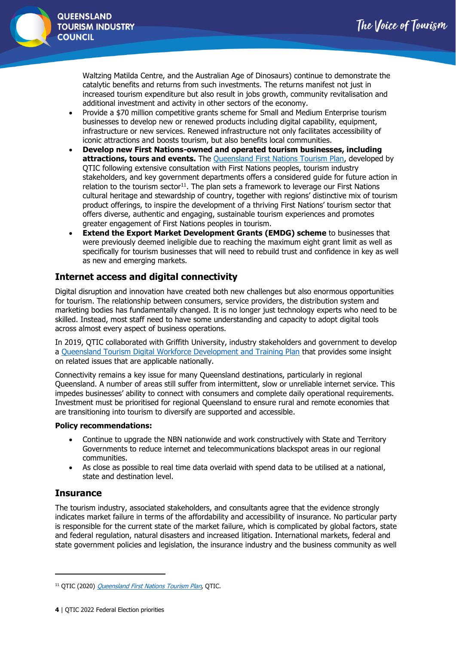

Waltzing Matilda Centre, and the Australian Age of Dinosaurs) continue to demonstrate the catalytic benefits and returns from such investments. The returns manifest not just in increased tourism expenditure but also result in jobs growth, community revitalisation and additional investment and activity in other sectors of the economy.

- Provide a \$70 million competitive grants scheme for Small and Medium Enterprise tourism businesses to develop new or renewed products including digital capability, equipment, infrastructure or new services. Renewed infrastructure not only facilitates accessibility of iconic attractions and boosts tourism, but also benefits local communities.
- **Develop new First Nations-owned and operated tourism businesses, including attractions, tours and events.** The [Queensland First Nations Tourism Plan,](https://qticazure.blob.core.windows.net/crmblobcontainer/Version%206%20-%20FNTP%20Final%20Version%20-%20High%20res%20Web.pdf) developed by QTIC following extensive consultation with First Nations peoples, tourism industry stakeholders, and key government departments offers a considered guide for future action in relation to the tourism sector $11$ . The plan sets a framework to leverage our First Nations cultural heritage and stewardship of country, together with regions' distinctive mix of tourism product offerings, to inspire the development of a thriving First Nations' tourism sector that offers diverse, authentic and engaging, sustainable tourism experiences and promotes greater engagement of First Nations peoples in tourism.
- **Extend the Export Market Development Grants (EMDG) scheme** to businesses that were previously deemed ineligible due to reaching the maximum eight grant limit as well as specifically for tourism businesses that will need to rebuild trust and confidence in key as well as new and emerging markets.

# **Internet access and digital connectivity**

Digital disruption and innovation have created both new challenges but also enormous opportunities for tourism. The relationship between consumers, service providers, the distribution system and marketing bodies has fundamentally changed. It is no longer just technology experts who need to be skilled. Instead, most staff need to have some understanding and capacity to adopt digital tools across almost every aspect of business operations.

In 2019, QTIC collaborated with Griffith University, industry stakeholders and government to develop a [Queensland Tourism Digital Workforce Development and Training Plan](https://gallery.mailchimp.com/d6ad1e58b5e26e87a88e0fc3a/files/bef5ec0d-bdeb-44b2-a628-a374e7e49794/16956_QTIC_WorkforceDevBooklet_prf4_1up.pdf) that provides some insight on related issues that are applicable nationally.

Connectivity remains a key issue for many Queensland destinations, particularly in regional Queensland. A number of areas still suffer from intermittent, slow or unreliable internet service. This impedes businesses' ability to connect with consumers and complete daily operational requirements. Investment must be prioritised for regional Queensland to ensure rural and remote economies that are transitioning into tourism to diversify are supported and accessible.

#### **Policy recommendations:**

- Continue to upgrade the NBN nationwide and work constructively with State and Territory Governments to reduce internet and telecommunications blackspot areas in our regional communities.
- As close as possible to real time data overlaid with spend data to be utilised at a national, state and destination level.

## **Insurance**

The tourism industry, associated stakeholders, and consultants agree that the evidence strongly indicates market failure in terms of the affordability and accessibility of insurance. No particular party is responsible for the current state of the market failure, which is complicated by global factors, state and federal regulation, natural disasters and increased litigation. International markets, federal and state government policies and legislation, the insurance industry and the business community as well

<sup>&</sup>lt;sup>11</sup> QTIC (2020) [Queensland First Nations Tourism Plan](https://www.qtic.com.au/indigenous-tourism/first-nations-tourism-potential-plan/), QTIC.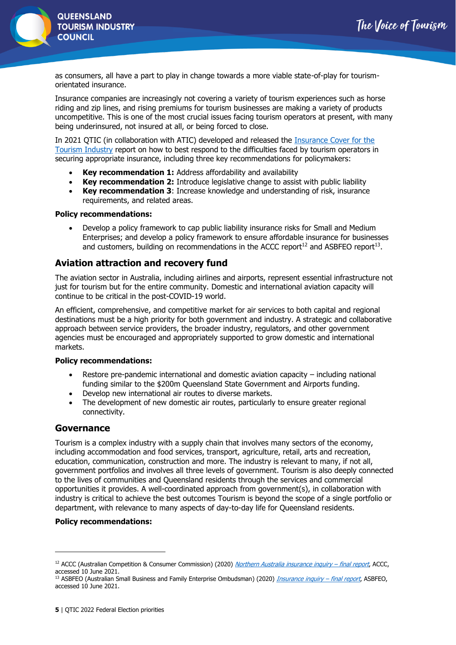

**QUEENSLAND TOURISM INDUSTRY COUNCIL** 

as consumers, all have a part to play in change towards a more viable state-of-play for tourismorientated insurance.

Insurance companies are increasingly not covering a variety of tourism experiences such as horse riding and zip lines, and rising premiums for tourism businesses are making a variety of products uncompetitive. This is one of the most crucial issues facing tourism operators at present, with many being underinsured, not insured at all, or being forced to close.

In 2021 QTIC (in collaboration with ATIC) developed and released the [Insurance Cover for the](https://qticazure.blob.core.windows.net/crmblobcontainer/Insurance%20Cover%20for%20the%20Tourism%20Industry_ATIC%20FINAL.pdf)  [Tourism Industry](https://qticazure.blob.core.windows.net/crmblobcontainer/Insurance%20Cover%20for%20the%20Tourism%20Industry_ATIC%20FINAL.pdf) report on how to best respond to the difficulties faced by tourism operators in securing appropriate insurance, including three key recommendations for policymakers:

- **Key recommendation 1:** Address affordability and availability
- **Key recommendation 2:** Introduce legislative change to assist with public liability
- **Key recommendation 3**: Increase knowledge and understanding of risk, insurance requirements, and related areas.

#### **Policy recommendations:**

• Develop a policy framework to cap public liability insurance risks for Small and Medium Enterprises; and develop a policy framework to ensure affordable insurance for businesses and customers, building on recommendations in the ACCC report<sup>12</sup> and ASBFEO report<sup>13</sup>.

## **Aviation attraction and recovery fund**

The aviation sector in Australia, including airlines and airports, represent essential infrastructure not just for tourism but for the entire community. Domestic and international aviation capacity will continue to be critical in the post-COVID-19 world.

An efficient, comprehensive, and competitive market for air services to both capital and regional destinations must be a high priority for both government and industry. A strategic and collaborative approach between service providers, the broader industry, regulators, and other government agencies must be encouraged and appropriately supported to grow domestic and international markets.

#### **Policy recommendations:**

- Restore pre-pandemic international and domestic aviation capacity including national funding similar to the \$200m Queensland State Government and Airports funding.
- Develop new international air routes to diverse markets.
- The development of new domestic air routes, particularly to ensure greater regional connectivity.

## **Governance**

Tourism is a complex industry with a supply chain that involves many sectors of the economy, including accommodation and food services, transport, agriculture, retail, arts and recreation, education, communication, construction and more. The industry is relevant to many, if not all, government portfolios and involves all three levels of government. Tourism is also deeply connected to the lives of communities and Queensland residents through the services and commercial opportunities it provides. A well-coordinated approach from government(s), in collaboration with industry is critical to achieve the best outcomes Tourism is beyond the scope of a single portfolio or department, with relevance to many aspects of day-to-day life for Queensland residents.

<sup>&</sup>lt;sup>12</sup> ACCC (Australian Competition & Consumer Commission) (2020) *[Northern Australia insurance inquiry](https://www.accc.gov.au/publications/northern-australia-insurance-inquiry-final-report) – final report*, ACCC, accessed 10 June 2021.

<sup>13</sup> ASBFEO (Australian Small Business and Family Enterprise Ombudsman) (2020) *[Insurance inquiry](https://www.asbfeo.gov.au/policy-advocacy/policy-insights/insurance-inquiry-2020) – final report*, ASBFEO, accessed 10 June 2021.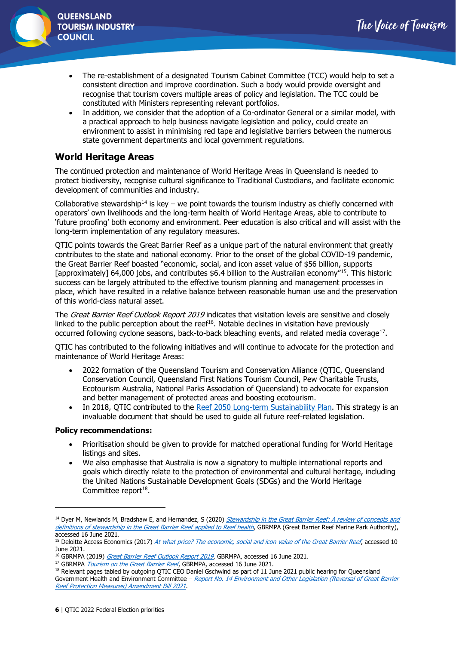

- The re-establishment of a designated Tourism Cabinet Committee (TCC) would help to set a consistent direction and improve coordination. Such a body would provide oversight and recognise that tourism covers multiple areas of policy and legislation. The TCC could be constituted with Ministers representing relevant portfolios.
- In addition, we consider that the adoption of a Co-ordinator General or a similar model, with a practical approach to help business navigate legislation and policy, could create an environment to assist in minimising red tape and legislative barriers between the numerous state government departments and local government regulations.

## **World Heritage Areas**

The continued protection and maintenance of World Heritage Areas in Queensland is needed to protect biodiversity, recognise cultural significance to Traditional Custodians, and facilitate economic development of communities and industry.

Collaborative stewardship<sup>14</sup> is key – we point towards the tourism industry as chiefly concerned with operators' own livelihoods and the long-term health of World Heritage Areas, able to contribute to 'future proofing' both economy and environment. Peer education is also critical and will assist with the long-term implementation of any regulatory measures.

QTIC points towards the Great Barrier Reef as a unique part of the natural environment that greatly contributes to the state and national economy. Prior to the onset of the global COVID-19 pandemic, the Great Barrier Reef boasted "economic, social, and icon asset value of \$56 billion, supports [approximately] 64,000 jobs, and contributes \$6.4 billion to the Australian economy"<sup>15</sup>. This historic success can be largely attributed to the effective tourism planning and management processes in place, which have resulted in a relative balance between reasonable human use and the preservation of this world-class natural asset.

The Great Barrier Reef Outlook Report 2019 indicates that visitation levels are sensitive and closely linked to the public perception about the ree $f^{16}$ . Notable declines in visitation have previously occurred following cyclone seasons, back-to-back bleaching events, and related media coverage<sup>17</sup>.

QTIC has contributed to the following initiatives and will continue to advocate for the protection and maintenance of World Heritage Areas:

- 2022 formation of the Queensland Tourism and Conservation Alliance (QTIC, Queensland Conservation Council, Queensland First Nations Tourism Council, Pew Charitable Trusts, Ecotourism Australia, National Parks Association of Queensland) to advocate for expansion and better management of protected areas and boosting ecotourism.
- In 2018, OTIC contributed to the [Reef 2050 Long-term Sustainability Plan.](https://qticazure.blob.core.windows.net/crmblobcontainer/200929%20-%20Reef%202050%20Long-Term%20Sustainability%20Plan%20Review.pdf) This strategy is an invaluable document that should be used to guide all future reef-related legislation.

- Prioritisation should be given to provide for matched operational funding for World Heritage listings and sites.
- We also emphasise that Australia is now a signatory to multiple international reports and goals which directly relate to the protection of environmental and cultural heritage, including the United Nations Sustainable Development Goals (SDGs) and the World Heritage Committee report<sup>18</sup>.

<sup>&</sup>lt;sup>14</sup> Dyer M, Newlands M, Bradshaw E, and Hernandez, S (2020) *Stewardship in the Great Barrier Reef: A review of concepts and* [definitions of stewardship in the Great Barrier Reef applied to Reef health](https://elibrary.gbrmpa.gov.au/jspui/handle/11017/3781), GBRMPA (Great Barrier Reef Marine Park Authority), accessed 16 June 2021.

<sup>&</sup>lt;sup>15</sup> Deloitte Access Economics (2017) [At what price? The economic, social and icon value of the Great Barrier Reef](https://www2.deloitte.com/au/en/pages/economics/articles/great-barrier-reef.html), accessed 10 June 2021.

<sup>&</sup>lt;sup>16</sup> GBRMPA (2019) *[Great Barrier Reef Outlook Report 2019](https://elibrary.gbrmpa.gov.au/jspui/handle/11017/3474)*, GBRMPA, accessed 16 June 2021.

<sup>&</sup>lt;sup>17</sup> GBRMPA *[Tourism on the Great Barrier Reef](https://www.gbrmpa.gov.au/our-work/Managing-multiple-uses/tourism-on-the-great-barrier-reef)*, GBRMPA, accessed 16 June 2021.

<sup>&</sup>lt;sup>18</sup> Relevant pages tabled by outgoing QTIC CEO Daniel Gschwind as part of 11 June 2021 public hearing for Queensland Government Health and Environment Committee - Report No. 14 Environment and Other Legislation (Reversal of Great Barrier [Reef Protection Measures\) Amendment Bill 2021](https://www.parliament.qld.gov.au/Work-of-Committees/Committees/Committee-Details?cid=169&id=3086).